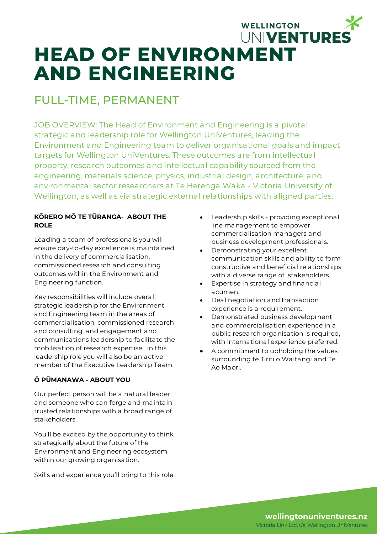# WELLINGTON UNIVENTURES **HEAD OF ENVIRONMENT AND ENGINEERING**

## FULL-TIME, PERMANENT

JOB OVERVIEW: The Head of Environment and Engineering is a pivotal strategic and leadership role for Wellington UniVentures, leading the Environment and Engineering team to deliver organisational goals and impact targets for Wellington UniVentures. These outcomes are from intellectual property, research outcomes and intellectual capability sourced from the engineering, materials science, physics, industrial design, architecture, and environmental sector researchers at Te Herenga Waka - Victoria University of Wellington, as well as via strategic external relationships with aligned parties.

#### **KŌRERO MŌ TE TŪRANGA- ABOUT THE ROLE**

Leading a team of professionals you will ensure day-to-day excellence is maintained in the delivery of commercialisation, commissioned research and consulting outcomes within the Environment and Engineering function.

Key responsibilities will include overall strategic leadership for the Environment and Engineering team in the areas of commercialisation, commissioned research and consulting, and engagement and communications leadership to facilitate the mobilisation of research expertise. In this leadership role you will also be an active member of the Executive Leadership Team.

#### **Ō PŪMANAWA - ABOUT YOU**

Our perfect person will be a natural leader and someone who can forge and maintain trusted relationships with a broad range of stakeholders.

You'll be excited by the opportunity to think strategically about the future of the Environment and Engineering ecosystem within our growing organisation.

Skills and experience you'll bring to this role:

- Leadership skills providing exceptional line management to empower commercialisation managers and business development professionals.
- Demonstrating your excellent communication skills and ability to form constructive and beneficial relationships with a diverse range of stakeholders.
- Expertise in strategy and financial acumen.
- Deal negotiation and transaction experience is a requirement.
- Demonstrated business development and commercialisation experience in a public research organisation is required, with international experience preferred.
- A commitment to upholding the values surrounding te Tiriti o Waitangi and Te Ao Maori.